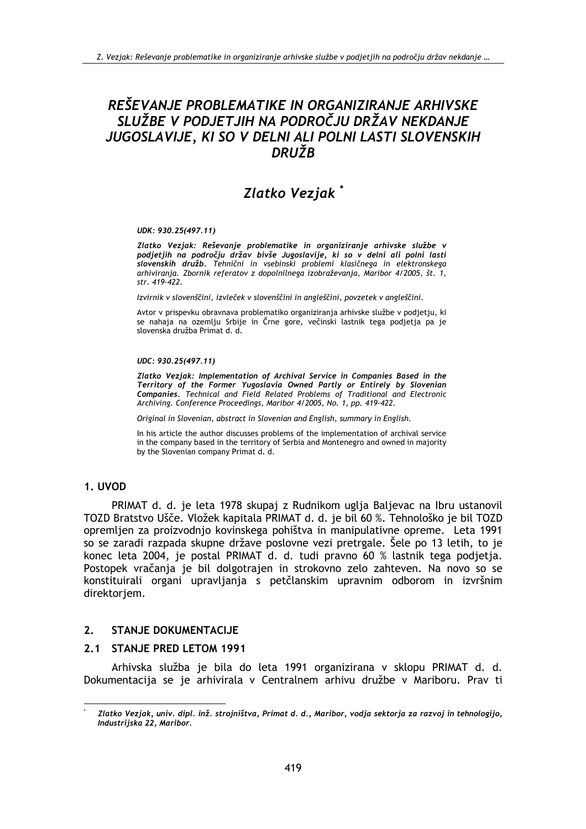# REŠEVANJE PROBLEMATIKE IN ORGANIZIRANJE ARHIVSKE SLUŽBE V PODJETJIH NA PODROČJU DRŽAV NEKDANJE JUGOSLAVIJE, KI SO V DELNI ALI POLNI LASTI SLOVENSKIH DRUŽB

# Zlatko Vezjak<sup>\*</sup>

#### UDK: 930.25(497.11)

Zlatko Vezjak: Reševanje problematike in organiziranje arhivske službe v podjetjih na področju držav bivše Jugoslavije, ki so v delni ali polni lasti slovenskih družb. Tehnični in vsebinski problemi klasičnega in elektronskega arhiviranja. Zbornik referatov z dopolnilnega izobraževanja, Maribor 4/2005, št. 1, str. 419-422.

Izvirnik v slovenščini, izvleček v slovenščini in angleščini, povzetek v angleščini.

Avtor v prispevku obravnava problematiko organiziranja arhivske službe v podjetju, ki se nahaja na ozemlju Srbije in Črne gore, večinski lastnik tega podjetja pa je slovenska družba Primat d. d.

#### UDC: 930.25(497.11)

Zlatko Vezjak: Implementation of Archival Service in Companies Based in the Territory of the Former Yugoslavia Owned Partly or Entirely by Slovenian Companies. Technical and Field Related Problems of Traditional and Electronic Archiving. Conference Proceedings, Maribor 4/2005, No. 1, pp. 419-422.

Original in Slovenian, abstract in Slovenian and English, summary in English.

In his article the author discusses problems of the implementation of archival service in the company based in the territory of Serbia and Montenegro and owned in majority by the Slovenian company Primat d. d.

#### 1. UVOD

PRIMAT d. d. je leta 1978 skupaj z Rudnikom uglja Baljevac na Ibru ustanovil TOZD Bratstvo Ušče. Vložek kapitala PRIMAT d. d. je bil 60 %. Tehnološko je bil TOZD opremljen za proizvodnjo kovinskega pohištva in manipulativne opreme. Leta 1991 so se zaradi razpada skupne države poslovne vezi pretrgale. Šele po 13 letih, to je konec leta 2004, je postal PRIMAT d. d. tudi pravno 60 % lastnik tega podjetja. Postopek vračanja je bil dolgotrajen in strokovno zelo zahteven. Na novo so se konstituirali organi upravljanja s petčlanskim upravnim odborom in izvršnim direktorjem.

#### $2.$ **STANJE DOKUMENTACIJE**

#### 2.1 STANJE PRED LETOM 1991

Arhivska služba je bila do leta 1991 organizirana v sklopu PRIMAT d. d. Dokumentacija se je arhivirala v Centralnem arhivu družbe v Mariboru. Prav ti

Zlatko Vezjak, univ. dipl. inž. strojništva, Primat d. d., Maribor, vodja sektorja za razvoj in tehnologijo, Industrijska 22, Maribor.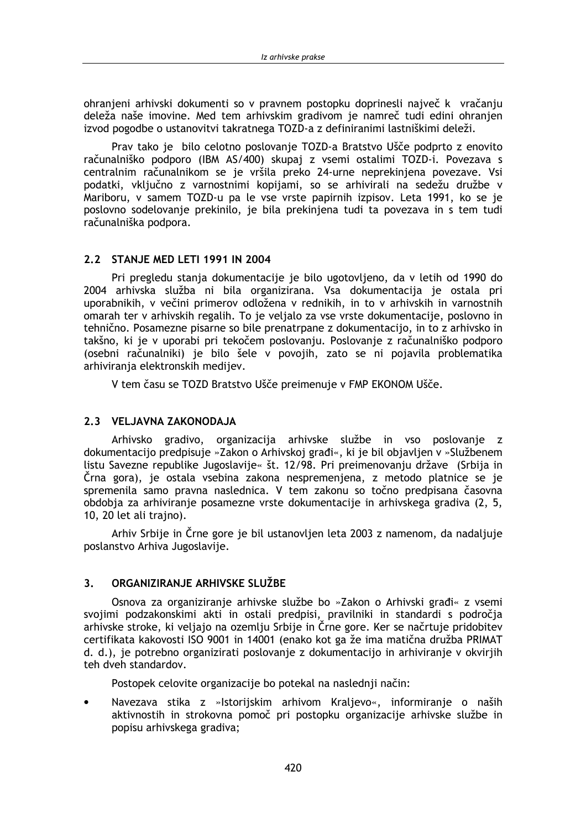ohranieni arhivski dokumenti so v pravnem postopku doprinesli največ k vračanju deleža naše imovine. Med tem arhivskim gradivom je namreč tudi edini ohranjen izvod pogodbe o ustanovitvi takratnega TOZD-a z definiranimi lastniškimi deleži.

Prav tako je bilo celotno poslovanje TOZD-a Bratstvo Ušče podprto z enovito računalniško podporo (IBM AS/400) skupaj z vsemi ostalimi TOZD-i. Povezava s centralnim računalnikom se je vršila preko 24-urne neprekinjena povezave. Vsi podatki, vključno z varnostnimi kopijami, so se arhivirali na sedežu družbe v Mariboru, v samem TOZD-u pa le vse vrste papirnih izpisov. Leta 1991, ko se je poslovno sodelovanje prekinilo, je bila prekinjena tudi ta povezava in s tem tudi računalniška podpora.

## 2.2 STANJE MED LETI 1991 IN 2004

Pri pregledu stanja dokumentacije je bilo ugotovljeno, da v letih od 1990 do 2004 arhivska služba ni bila organizirana. Vsa dokumentacija je ostala pri uporabnikih, v večini primerov odložena v rednikih, in to v arhivskih in varnostnih omarah ter v arhivskih regalih. To je veljalo za vse vrste dokumentacije, poslovno in tehnično. Posamezne pisarne so bile prenatrpane z dokumentacijo, in to z arhivsko in takšno, ki je v uporabi pri tekočem poslovanju. Poslovanje z računalniško podporo (osebni računalniki) je bilo šele v povojih, zato se ni pojavila problematika arhivirania elektronskih medijev.

V tem času se TOZD Bratstvo Ušče preimenuje v FMP EKONOM Ušče.

## 2.3 VELJAVNA ZAKONODAJA

Arhivsko gradivo, organizacija arhivske službe in vso poslovanje z dokumentacijo predpisuje »Zakon o Arhivskoj građi«, ki je bil objavljen v »Službenem listu Savezne republike Jugoslavije« št. 12/98. Pri preimenovanju države (Srbija in Črna gora), je ostala vsebina zakona nespremenjena, z metodo platnice se je spremenila samo pravna naslednica. V tem zakonu so točno predpisana časovna obdobia za arhiviranie posamezne vrste dokumentacije in arhivskega gradiva (2, 5, 10. 20 let ali traino).

Arhiv Srbije in Črne gore je bil ustanovljen leta 2003 z namenom, da nadaljuje poslanstvo Arhiva Jugoslavije.

#### ORGANIZIRANJE ARHIVSKE SLUŽBE  $3<sub>1</sub>$

Osnova za organiziranje arhivske službe bo »Zakon o Arhivski građi« z vsemi svojimi podzakonskimi akti in ostali predpisi, pravilniki in standardi s področja arhivske stroke, ki veljajo na ozemlju Srbije in Črne gore. Ker se načrtuje pridobitev certifikata kakovosti ISO 9001 in 14001 (enako kot ga že ima matična družba PRIMAT d. d.), je potrebno organizirati poslovanje z dokumentacijo in arhiviranje v okvirjih teh dveh standardov.

Postopek celovite organizacije bo potekal na naslednji način:

Navezava stika z »Istorijskim arhivom Kraljevo«, informiranje o naših aktivnostih in strokovna pomoč pri postopku organizacije arhivske službe in popisu arhivskega gradiva;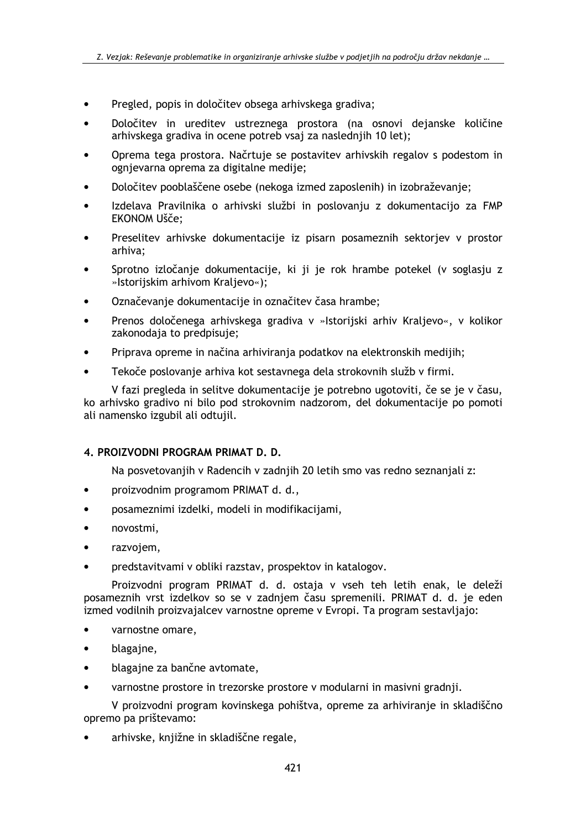- Pregled, popis in določitev obsega arhivskega gradiva;  $\bullet$
- Določitev in ureditev ustreznega prostora (na osnovi dejanske količine arhivskega gradiva in ocene potreb vsaj za naslednijh 10 let);
- Oprema tega prostora. Načrtuje se postavitev arhivskih regalov s podestom in ognievarna oprema za digitalne medije:
- Določitev pooblaščene osebe (nekoga izmed zaposlenih) in izobraževanje;
- Izdelava Pravilnika o arhivski službi in poslovanju z dokumentacijo za FMP **EKONOM Ušče:**
- Preselitev arhivske dokumentacije iz pisarn posameznih sektoriev v prostor arhiva:
- Sprotno izločanje dokumentacije, ki ji je rok hrambe potekel (v soglasju z »Istorijskim arhivom Kraljevo«);
- Označevanje dokumentacije in označitev časa hrambe;
- Prenos določenega arhivskega gradiva v »Istorijski arhiv Kraljevo«, v kolikor zakonodaja to predpisuje;
- Priprava opreme in načina arhiviranja podatkov na elektronskih medijih;
- Tekoče poslovanje arhiva kot sestavnega dela strokovnih služb v firmi.  $\bullet$

V fazi pregleda in selitve dokumentacije je potrebno ugotoviti, če se je v času, ko arhivsko gradivo ni bilo pod strokovnim nadzorom, del dokumentacije po pomoti ali namensko izgubil ali odtujil.

### 4. PROIZVODNI PROGRAM PRIMAT D. D.

Na posvetovanjih v Radencih v zadnjih 20 letih smo vas redno seznanjali z:

- proizvodnim programom PRIMAT d. d.,
- posameznimi izdelki, modeli in modifikacijami,
- novostmi,
- razvojem,
- predstavitvami v obliki razstav, prospektov in katalogov.

Proizvodni program PRIMAT d. d. ostaja v vseh teh letih enak, le deleži posameznih vrst izdelkov so se v zadnjem času spremenili. PRIMAT d. d. je eden izmed vodilnih proizvajalcev varnostne opreme v Evropi. Ta program sestavljajo:

- varnostne omare,
- $\bullet$ blagajne,
- blagajne za bančne avtomate,  $\bullet$
- varnostne prostore in trezorske prostore v modularni in masivni gradnji.

V proizvodni program kovinskega pohištva, opreme za arhiviranje in skladiščno opremo pa prištevamo:

arhivske, knjižne in skladiščne regale,